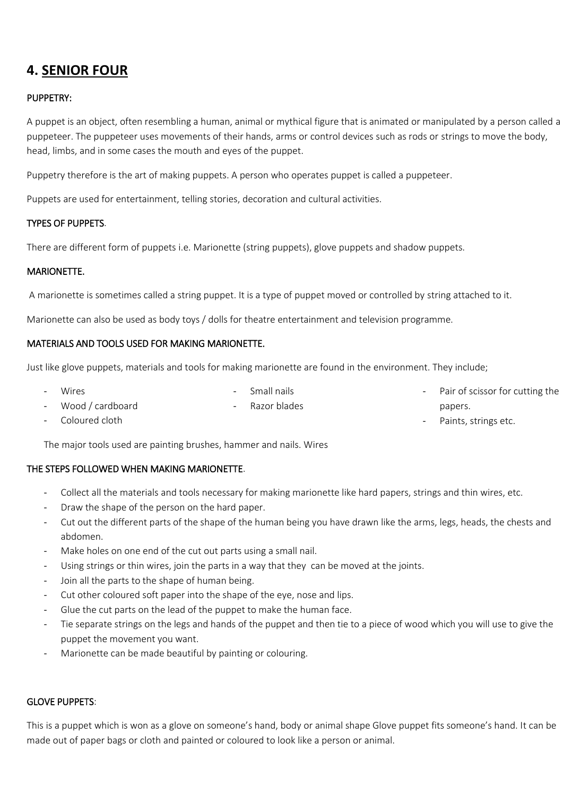# **4. SENIOR FOUR**

# PUPPETRY:

A puppet is an object, often resembling a human, animal or mythical figure that is animated or manipulated by a person called a puppeteer. The puppeteer uses movements of their hands, arms or control devices such as rods or strings to move the body, head, limbs, and in some cases the mouth and eyes of the puppet.

Puppetry therefore is the art of making puppets. A person who operates puppet is called a puppeteer.

Puppets are used for entertainment, telling stories, decoration and cultural activities.

## TYPES OF PUPPETS.

There are different form of puppets i.e. Marionette (string puppets), glove puppets and shadow puppets.

#### MARIONETTE.

A marionette is sometimes called a string puppet. It is a type of puppet moved or controlled by string attached to it.

Marionette can also be used as body toys / dolls for theatre entertainment and television programme.

#### MATERIALS AND TOOLS USED FOR MAKING MARIONETTE.

Just like glove puppets, materials and tools for making marionette are found in the environment. They include;

- Wires - Wood / cardboard - Small nails Razor blades Pair of scissor for cutting the papers.

Paints, strings etc.

- Coloured cloth

The major tools used are painting brushes, hammer and nails. Wires

## THE STEPS FOLLOWED WHEN MAKING MARIONETTE.

- Collect all the materials and tools necessary for making marionette like hard papers, strings and thin wires, etc.
- Draw the shape of the person on the hard paper.
- Cut out the different parts of the shape of the human being you have drawn like the arms, legs, heads, the chests and abdomen.
- Make holes on one end of the cut out parts using a small nail.
- Using strings or thin wires, join the parts in a way that they can be moved at the joints.
- Join all the parts to the shape of human being.
- Cut other coloured soft paper into the shape of the eye, nose and lips.
- Glue the cut parts on the lead of the puppet to make the human face.
- Tie separate strings on the legs and hands of the puppet and then tie to a piece of wood which you will use to give the puppet the movement you want.
- Marionette can be made beautiful by painting or colouring.

#### GLOVE PUPPETS:

This is a puppet which is won as a glove on someone's hand, body or animal shape Glove puppet fits someone's hand. It can be made out of paper bags or cloth and painted or coloured to look like a person or animal.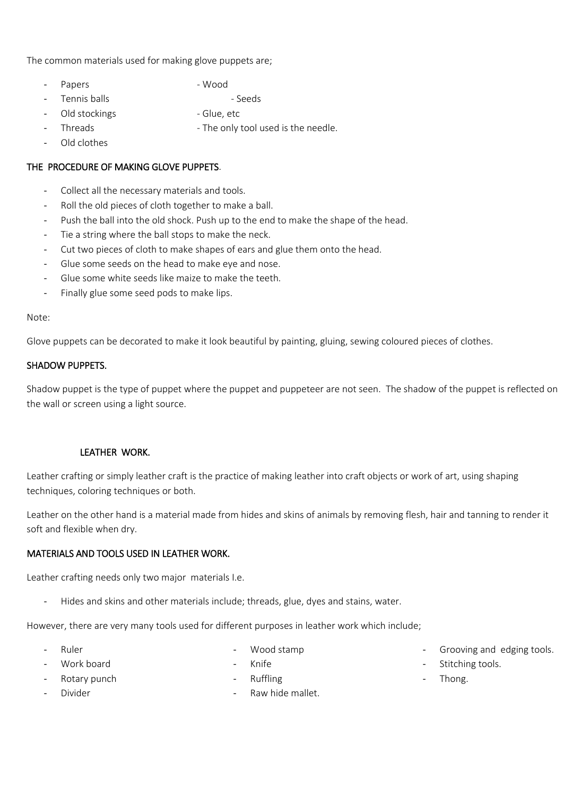The common materials used for making glove puppets are;

- Papers Wood
- Tennis balls **and Seeds** and Seeds
- Old stockings The Columb Glue, etc
- Threads The only tool used is the needle.
- Old clothes

# THE PROCEDURE OF MAKING GLOVE PUPPETS.

- Collect all the necessary materials and tools.
- Roll the old pieces of cloth together to make a ball.
- Push the ball into the old shock. Push up to the end to make the shape of the head.
- Tie a string where the ball stops to make the neck.
- Cut two pieces of cloth to make shapes of ears and glue them onto the head.
- Glue some seeds on the head to make eye and nose.
- Glue some white seeds like maize to make the teeth.
- Finally glue some seed pods to make lips.

#### Note:

Glove puppets can be decorated to make it look beautiful by painting, gluing, sewing coloured pieces of clothes.

#### SHADOW PUPPETS.

Shadow puppet is the type of puppet where the puppet and puppeteer are not seen. The shadow of the puppet is reflected on the wall or screen using a light source.

#### LEATHER WORK.

Leather crafting or simply leather craft is the practice of making leather into craft objects or work of art, using shaping techniques, coloring techniques or both.

Leather on the other hand is a material made from hides and skins of animals by removing flesh, hair and tanning to render it soft and flexible when dry.

#### MATERIALS AND TOOLS USED IN LEATHER WORK.

Leather crafting needs only two major materials I.e.

Hides and skins and other materials include; threads, glue, dyes and stains, water.

However, there are very many tools used for different purposes in leather work which include;

- Ruler

Wood stamp

Work board

- Knife

Rotary punch

- Ruffling
	- Raw hide mallet.
- Grooving and edging tools.
- Stitching tools.
- Thong.

- Divider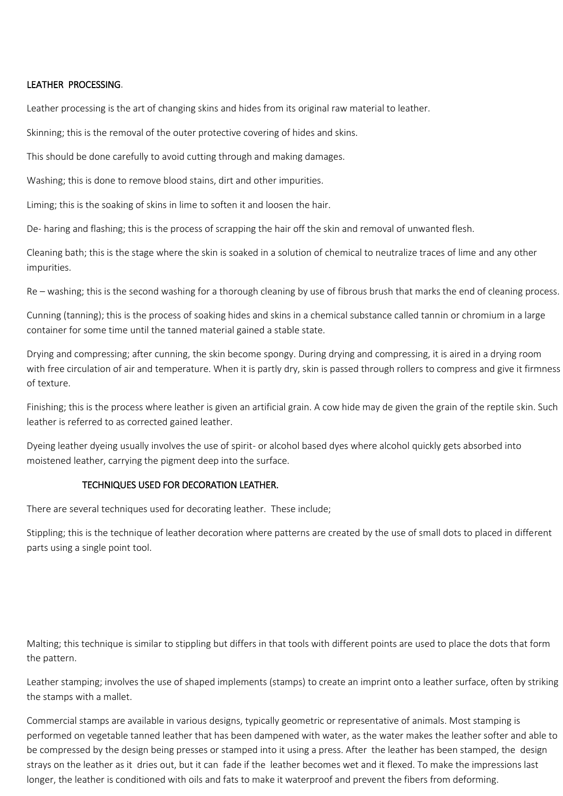#### LEATHER PROCESSING.

Leather processing is the art of changing skins and hides from its original raw material to leather.

Skinning; this is the removal of the outer protective covering of hides and skins.

This should be done carefully to avoid cutting through and making damages.

Washing; this is done to remove blood stains, dirt and other impurities.

Liming; this is the soaking of skins in lime to soften it and loosen the hair.

De- haring and flashing; this is the process of scrapping the hair off the skin and removal of unwanted flesh.

Cleaning bath; this is the stage where the skin is soaked in a solution of chemical to neutralize traces of lime and any other impurities.

Re – washing; this is the second washing for a thorough cleaning by use of fibrous brush that marks the end of cleaning process.

Cunning (tanning); this is the process of soaking hides and skins in a chemical substance called tannin or chromium in a large container for some time until the tanned material gained a stable state.

Drying and compressing; after cunning, the skin become spongy. During drying and compressing, it is aired in a drying room with free circulation of air and temperature. When it is partly dry, skin is passed through rollers to compress and give it firmness of texture.

Finishing; this is the process where leather is given an artificial grain. A cow hide may de given the grain of the reptile skin. Such leather is referred to as corrected gained leather.

Dyeing leather dyeing usually involves the use of spirit- or alcohol based dyes where alcohol quickly gets absorbed into moistened leather, carrying the pigment deep into the surface.

#### TECHNIQUES USED FOR DECORATION LEATHER.

There are several techniques used for decorating leather. These include;

Stippling; this is the technique of leather decoration where patterns are created by the use of small dots to placed in different parts using a single point tool.

Malting; this technique is similar to stippling but differs in that tools with different points are used to place the dots that form the pattern.

Leather stamping; involves the use of shaped implements (stamps) to create an imprint onto a leather surface, often by striking the stamps with a mallet.

Commercial stamps are available in various designs, typically geometric or representative of animals. Most stamping is performed on vegetable tanned leather that has been dampened with water, as the water makes the leather softer and able to be compressed by the design being presses or stamped into it using a press. After the leather has been stamped, the design strays on the leather as it dries out, but it can fade if the leather becomes wet and it flexed. To make the impressions last longer, the leather is conditioned with oils and fats to make it waterproof and prevent the fibers from deforming.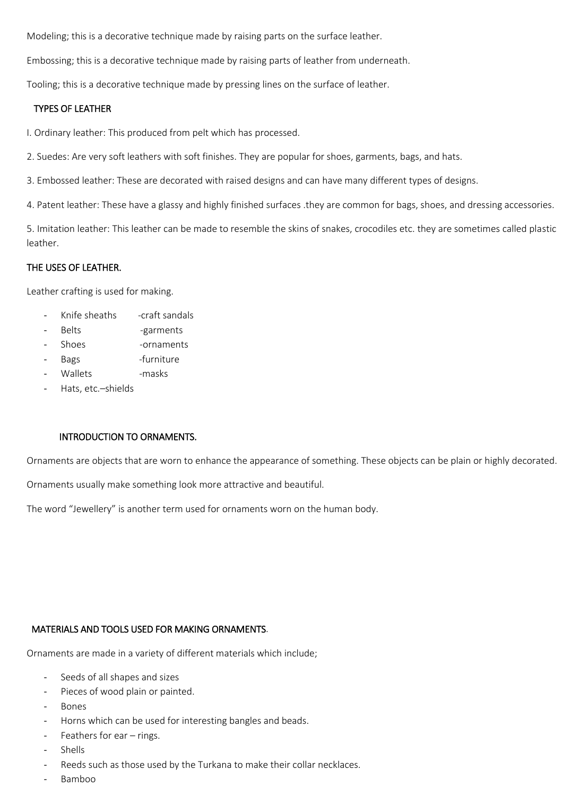Modeling; this is a decorative technique made by raising parts on the surface leather.

Embossing; this is a decorative technique made by raising parts of leather from underneath.

Tooling; this is a decorative technique made by pressing lines on the surface of leather.

### TYPES OF LEATHER

I. Ordinary leather: This produced from pelt which has processed.

2. Suedes: Are very soft leathers with soft finishes. They are popular for shoes, garments, bags, and hats.

3. Embossed leather: These are decorated with raised designs and can have many different types of designs.

4. Patent leather: These have a glassy and highly finished surfaces .they are common for bags, shoes, and dressing accessories.

5. Imitation leather: This leather can be made to resemble the skins of snakes, crocodiles etc. they are sometimes called plastic leather.

# THE USES OF LEATHER.

Leather crafting is used for making.

- Knife sheaths craft sandals
- Belts -garments
- Shoes -ornaments
- Bags -furniture
- Wallets masks
- Hats, etc.-shields

## INTRODUCTION TO ORNAMENTS.

Ornaments are objects that are worn to enhance the appearance of something. These objects can be plain or highly decorated.

Ornaments usually make something look more attractive and beautiful.

The word "Jewellery" is another term used for ornaments worn on the human body.

## MATERIALS AND TOOLS USED FOR MAKING ORNAMENTS.

Ornaments are made in a variety of different materials which include;

- Seeds of all shapes and sizes
- Pieces of wood plain or painted.
- **Bones**
- Horns which can be used for interesting bangles and beads.
- Feathers for ear  $-$  rings.
- **Shells**
- Reeds such as those used by the Turkana to make their collar necklaces.
- Bamboo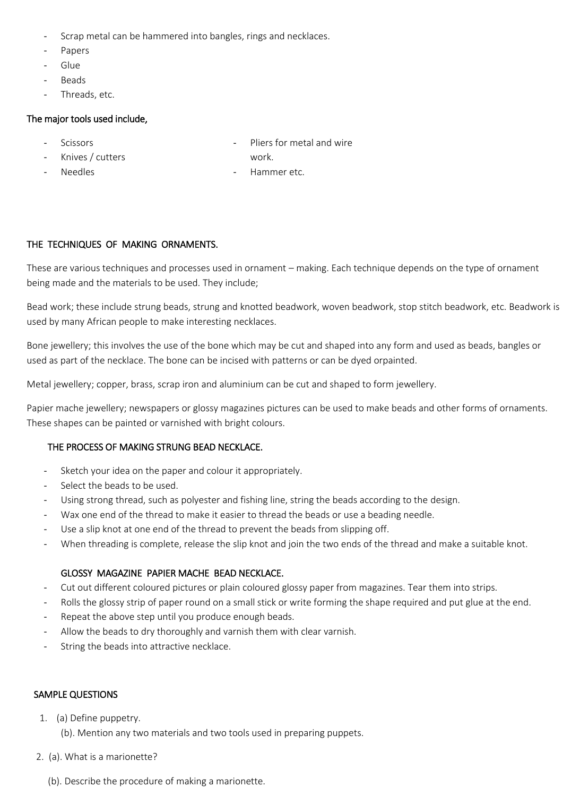- Scrap metal can be hammered into bangles, rings and necklaces.
- Papers
- Glue
- Beads
- Threads, etc.

## The major tools used include,

- **Scissors**
- Knives / cutters
- Pliers for metal and wire
- work.

- Needles

Hammer etc.

# THE TECHNIQUES OF MAKING ORNAMENTS.

These are various techniques and processes used in ornament – making. Each technique depends on the type of ornament being made and the materials to be used. They include;

Bead work; these include strung beads, strung and knotted beadwork, woven beadwork, stop stitch beadwork, etc. Beadwork is used by many African people to make interesting necklaces.

Bone jewellery; this involves the use of the bone which may be cut and shaped into any form and used as beads, bangles or used as part of the necklace. The bone can be incised with patterns or can be dyed orpainted.

Metal jewellery; copper, brass, scrap iron and aluminium can be cut and shaped to form jewellery.

Papier mache jewellery; newspapers or glossy magazines pictures can be used to make beads and other forms of ornaments. These shapes can be painted or varnished with bright colours.

## THE PROCESS OF MAKING STRUNG BEAD NECKLACE.

- Sketch your idea on the paper and colour it appropriately.
- Select the beads to be used.
- Using strong thread, such as polyester and fishing line, string the beads according to the design.
- Wax one end of the thread to make it easier to thread the beads or use a beading needle.
- Use a slip knot at one end of the thread to prevent the beads from slipping off.
- When threading is complete, release the slip knot and join the two ends of the thread and make a suitable knot.

# GLOSSY MAGAZINE PAPIER MACHE BEAD NECKLACE.

- Cut out different coloured pictures or plain coloured glossy paper from magazines. Tear them into strips.
- Rolls the glossy strip of paper round on a small stick or write forming the shape required and put glue at the end.
- Repeat the above step until you produce enough beads.
- Allow the beads to dry thoroughly and varnish them with clear varnish.
- String the beads into attractive necklace.

## SAMPLE QUESTIONS

- 1. (a) Define puppetry.
	- (b). Mention any two materials and two tools used in preparing puppets.
- 2. (a). What is a marionette?
	- (b). Describe the procedure of making a marionette.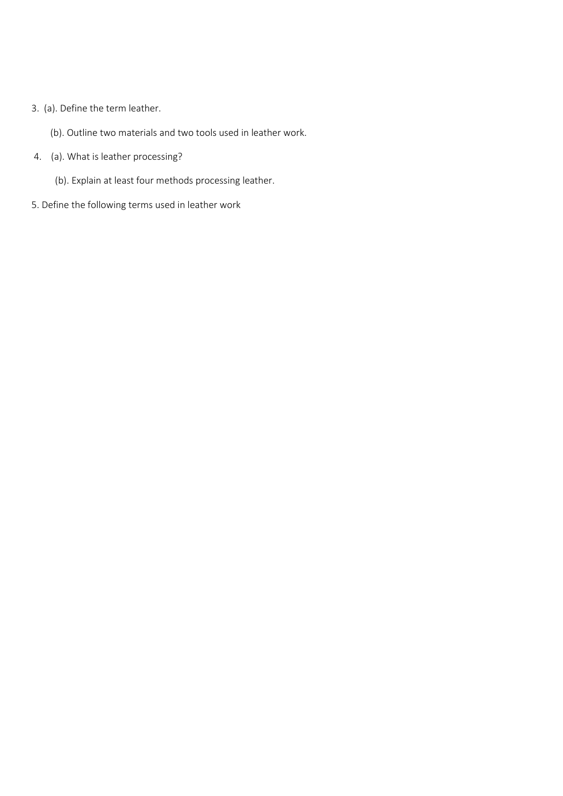# 3. (a). Define the term leather.

- (b). Outline two materials and two tools used in leather work.
- 4. (a). What is leather processing?
	- (b). Explain at least four methods processing leather.
- 5. Define the following terms used in leather work